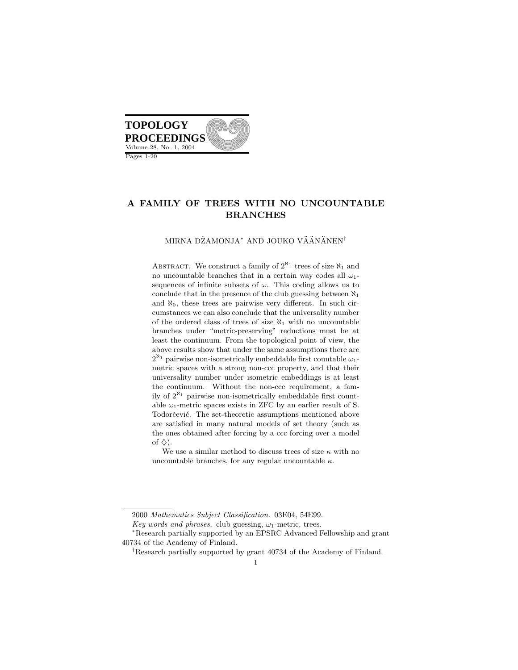

# A FAMILY OF TREES WITH NO UNCOUNTABLE BRANCHES

#### MIRNA DŽAMONJA<sup>\*</sup> AND JOUKO VÄÄNÄNEN<sup>†</sup>

ABSTRACT. We construct a family of  $2^{\aleph_1}$  trees of size  $\aleph_1$  and no uncountable branches that in a certain way codes all  $\omega_1$ sequences of infinite subsets of  $\omega$ . This coding allows us to conclude that in the presence of the club guessing between  $\aleph_1$ and  $\aleph_0$ , these trees are pairwise very different. In such circumstances we can also conclude that the universality number of the ordered class of trees of size  $\aleph_1$  with no uncountable branches under "metric-preserving" reductions must be at least the continuum. From the topological point of view, the above results show that under the same assumptions there are  $2^{\aleph_1}$  pairwise non-isometrically embeddable first countable  $\omega_1$ metric spaces with a strong non-ccc property, and that their universality number under isometric embeddings is at least the continuum. Without the non-ccc requirement, a family of  $2^{\aleph_1}$  pairwise non-isometrically embeddable first countable  $\omega_1$ -metric spaces exists in ZFC by an earlier result of S. Todorčević. The set-theoretic assumptions mentioned above are satisfied in many natural models of set theory (such as the ones obtained after forcing by a ccc forcing over a model of  $\diamondsuit$ ).

We use a similar method to discuss trees of size  $\kappa$  with no uncountable branches, for any regular uncountable  $\kappa$ .

<sup>2000</sup> Mathematics Subject Classification. 03E04, 54E99.

Key words and phrases. club guessing,  $\omega_1$ -metric, trees.

<sup>∗</sup>Research partially supported by an EPSRC Advanced Fellowship and grant 40734 of the Academy of Finland.

<sup>†</sup>Research partially supported by grant 40734 of the Academy of Finland.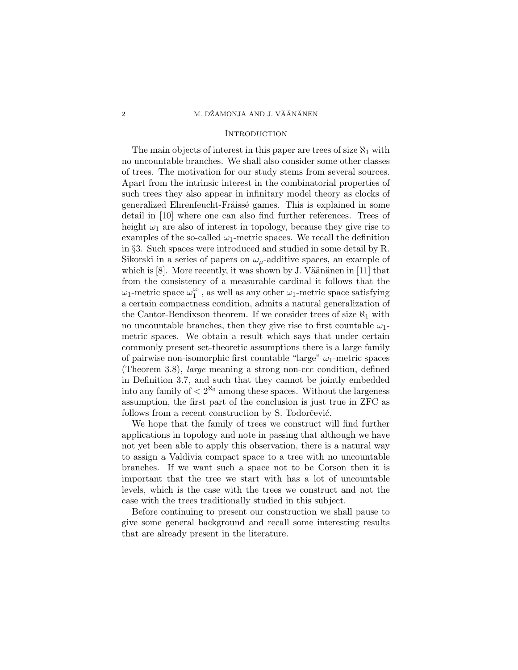### 2 M. DŽAMONJA AND J. VÄÄNÄNEN

## **INTRODUCTION**

The main objects of interest in this paper are trees of size  $\aleph_1$  with no uncountable branches. We shall also consider some other classes of trees. The motivation for our study stems from several sources. Apart from the intrinsic interest in the combinatorial properties of such trees they also appear in infinitary model theory as clocks of generalized Ehrenfeucht-Fräissé games. This is explained in some detail in [10] where one can also find further references. Trees of height  $\omega_1$  are also of interest in topology, because they give rise to examples of the so-called  $\omega_1$ -metric spaces. We recall the definition in §3. Such spaces were introduced and studied in some detail by R. Sikorski in a series of papers on  $\omega_{\mu}$ -additive spaces, an example of which is  $[8]$ . More recently, it was shown by J. Väänänen in  $[11]$  that from the consistency of a measurable cardinal it follows that the  $\omega_1$ -metric space  $\omega_1^{\omega_1}$ , as well as any other  $\omega_1$ -metric space satisfying a certain compactness condition, admits a natural generalization of the Cantor-Bendixson theorem. If we consider trees of size  $\aleph_1$  with no uncountable branches, then they give rise to first countable  $\omega_1$ metric spaces. We obtain a result which says that under certain commonly present set-theoretic assumptions there is a large family of pairwise non-isomorphic first countable "large"  $\omega_1$ -metric spaces (Theorem 3.8), large meaning a strong non-ccc condition, defined in Definition 3.7, and such that they cannot be jointly embedded into any family of  $\langle 2^{\aleph_0}$  among these spaces. Without the largeness assumption, the first part of the conclusion is just true in ZFC as follows from a recent construction by S. Todorcevic.

We hope that the family of trees we construct will find further applications in topology and note in passing that although we have not yet been able to apply this observation, there is a natural way to assign a Valdivia compact space to a tree with no uncountable branches. If we want such a space not to be Corson then it is important that the tree we start with has a lot of uncountable levels, which is the case with the trees we construct and not the case with the trees traditionally studied in this subject.

Before continuing to present our construction we shall pause to give some general background and recall some interesting results that are already present in the literature.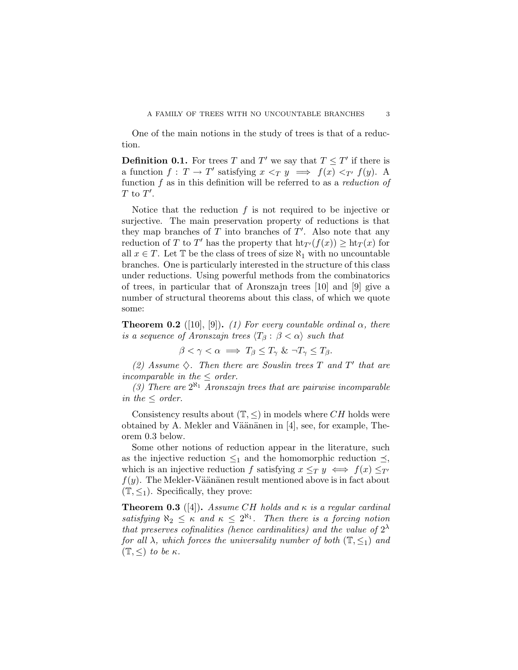One of the main notions in the study of trees is that of a reduction.

**Definition 0.1.** For trees T and T' we say that  $T \leq T'$  if there is a function  $f: T \to T'$  satisfying  $x <_T y \implies f(x) <_{T'} f(y)$ . A function f as in this definition will be referred to as a reduction of  $T$  to  $T'$ .

Notice that the reduction  $f$  is not required to be injective or surjective. The main preservation property of reductions is that they map branches of  $T$  into branches of  $T'$ . Also note that any reduction of T to T' has the property that  $\operatorname{ht}_{T'}(f(x)) \geq \operatorname{ht}_T(x)$  for all  $x \in T$ . Let  $\mathbb T$  be the class of trees of size  $\aleph_1$  with no uncountable branches. One is particularly interested in the structure of this class under reductions. Using powerful methods from the combinatorics of trees, in particular that of Aronszajn trees [10] and [9] give a number of structural theorems about this class, of which we quote some:

**Theorem 0.2** ([10], [9]). (1) For every countable ordinal  $\alpha$ , there is a sequence of Aronszajn trees  $\langle T_\beta : \beta < \alpha \rangle$  such that

 $\beta < \gamma < \alpha \implies T_{\beta} \leq T_{\gamma} \& \neg T_{\gamma} \leq T_{\beta}.$ 

(2) Assume  $\diamondsuit$ . Then there are Souslin trees T and T' that are incomparable in the  $\leq$  order.

(3) There are  $2^{\aleph_1}$  Aronszajn trees that are pairwise incomparable in the  $\leq$  order.

Consistency results about  $(\mathbb{T}, \leq)$  in models where CH holds were obtained by A. Mekler and Väänänen in  $[4]$ , see, for example, Theorem 0.3 below.

Some other notions of reduction appear in the literature, such as the injective reduction  $\leq_1$  and the homomorphic reduction  $\preceq$ , which is an injective reduction f satisfying  $x \leq_T y \iff f(x) \leq_T0$  $f(y)$ . The Mekler-Väänänen result mentioned above is in fact about  $(\mathbb{T}, \leq_1)$ . Specifically, they prove:

**Theorem 0.3** ([4]). Assume CH holds and  $\kappa$  is a regular cardinal satisfying  $\aleph_2 \leq \kappa$  and  $\kappa \leq 2^{\aleph_1}$ . Then there is a forcing notion that preserves cofinalities (hence cardinalities) and the value of  $2^{\lambda}$ for all  $\lambda$ , which forces the universality number of both  $(\mathbb{T}, \leq_1)$  and  $(\mathbb{T}, \leq)$  to be  $\kappa$ .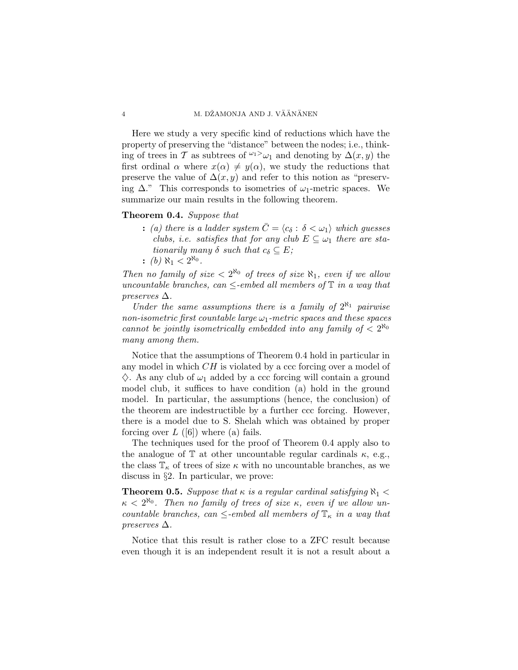Here we study a very specific kind of reductions which have the property of preserving the "distance" between the nodes; i.e., thinking of trees in T as subtrees of  $\omega_1 > \omega_1$  and denoting by  $\Delta(x, y)$  the first ordinal  $\alpha$  where  $x(\alpha) \neq y(\alpha)$ , we study the reductions that preserve the value of  $\Delta(x, y)$  and refer to this notion as "preserving  $\Delta$ ." This corresponds to isometries of  $\omega_1$ -metric spaces. We summarize our main results in the following theorem.

## Theorem 0.4. Suppose that

- : (a) there is a ladder system  $\overline{C} = \langle c_{\delta} : \delta < \omega_1 \rangle$  which guesses clubs, i.e. satisfies that for any club  $E \subseteq \omega_1$  there are stationarily many  $\delta$  such that  $c_{\delta} \subseteq E$ ;
- : (b)  $\aleph_1 < 2^{\aleph_0}$ .

Then no family of size  $\langle 2^{R_0} \rangle$  of trees of size  $R_1$ , even if we allow uncountable branches, can  $\leq$ -embed all members of  $\mathbb T$  in a way that preserves  $\Delta$ .

Under the same assumptions there is a family of  $2^{\aleph_1}$  pairwise non-isometric first countable large  $\omega_1$ -metric spaces and these spaces cannot be jointly isometrically embedded into any family of  $\langle 2^{\aleph_0} \rangle$ many among them.

Notice that the assumptions of Theorem 0.4 hold in particular in any model in which CH is violated by a ccc forcing over a model of  $\Diamond$ . As any club of  $\omega_1$  added by a ccc forcing will contain a ground model club, it suffices to have condition (a) hold in the ground model. In particular, the assumptions (hence, the conclusion) of the theorem are indestructible by a further ccc forcing. However, there is a model due to S. Shelah which was obtained by proper forcing over  $L$  ([6]) where (a) fails.

The techniques used for the proof of Theorem 0.4 apply also to the analogue of  $\mathbb T$  at other uncountable regular cardinals  $\kappa$ , e.g., the class  $\mathbb{T}_{\kappa}$  of trees of size  $\kappa$  with no uncountable branches, as we discuss in §2. In particular, we prove:

**Theorem 0.5.** Suppose that  $\kappa$  is a regular cardinal satisfying  $\aleph_1$  <  $\kappa < 2^{\aleph_0}$ . Then no family of trees of size  $\kappa$ , even if we allow uncountable branches, can  $\leq$ -embed all members of  $\mathbb{T}_{\kappa}$  in a way that preserves  $\Delta$ .

Notice that this result is rather close to a ZFC result because even though it is an independent result it is not a result about a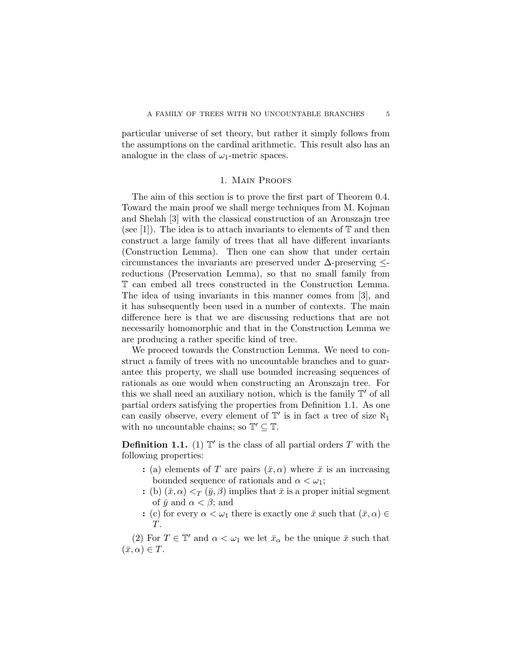particular universe of set theory, but rather it simply follows from the assumptions on the cardinal arithmetic. This result also has an analogue in the class of  $\omega_1$ -metric spaces.

# 1. Main Proofs

The aim of this section is to prove the first part of Theorem 0.4. Toward the main proof we shall merge techniques from M. Kojman and Shelah [3] with the classical construction of an Aronszajn tree (see [1]). The idea is to attach invariants to elements of  $\mathbb T$  and then construct a large family of trees that all have different invariants (Construction Lemma). Then one can show that under certain circumstances the invariants are preserved under  $\Delta$ -preserving  $\leq$ reductions (Preservation Lemma), so that no small family from T can embed all trees constructed in the Construction Lemma. The idea of using invariants in this manner comes from [3], and it has subsequently been used in a number of contexts. The main difference here is that we are discussing reductions that are not necessarily homomorphic and that in the Construction Lemma we are producing a rather specific kind of tree.

We proceed towards the Construction Lemma. We need to construct a family of trees with no uncountable branches and to guarantee this property, we shall use bounded increasing sequences of rationals as one would when constructing an Aronszajn tree. For this we shall need an auxiliary notion, which is the family  $\mathbb{T}'$  of all partial orders satisfying the properties from Definition 1.1. As one can easily observe, every element of  $\mathbb{T}'$  is in fact a tree of size  $\aleph_1$ with no uncountable chains; so  $\mathbb{T}' \subseteq \mathbb{T}$ .

**Definition 1.1.** (1)  $\mathbb{T}'$  is the class of all partial orders T with the following properties:

- : (a) elements of T are pairs  $(\bar{x}, \alpha)$  where  $\bar{x}$  is an increasing bounded sequence of rationals and  $\alpha < \omega_1$ ;
- : (b)  $(\bar{x}, \alpha) <_T (\bar{y}, \beta)$  implies that  $\bar{x}$  is a proper initial segment of  $\bar{y}$  and  $\alpha < \beta$ ; and
- : (c) for every  $\alpha < \omega_1$  there is exactly one  $\bar{x}$  such that  $(\bar{x}, \alpha) \in$ T.

(2) For  $T \in \mathbb{T}'$  and  $\alpha < \omega_1$  we let  $\bar{x}_\alpha$  be the unique  $\bar{x}$  such that  $(\bar{x}, \alpha) \in T$ .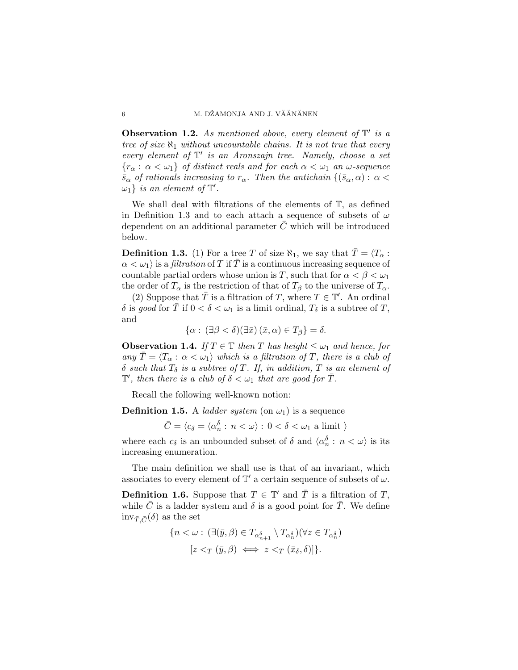**Observation 1.2.** As mentioned above, every element of  $\mathbb{T}'$  is a tree of size  $\aleph_1$  without uncountable chains. It is not true that every every element of  $\mathbb{T}'$  is an Aronszajn tree. Namely, choose a set  ${r_{\alpha}: \alpha < \omega_1}$  of distinct reals and for each  $\alpha < \omega_1$  an  $\omega$ -sequence  $\bar{s}_{\alpha}$  of rationals increasing to  $r_{\alpha}$ . Then the antichain  $\{(\bar{s}_{\alpha}, \alpha): \alpha$  $\omega_1$  *is an element of*  $\mathbb{T}'$ .

We shall deal with filtrations of the elements of T, as defined in Definition 1.3 and to each attach a sequence of subsets of  $\omega$ dependent on an additional parameter  $C$  which will be introduced below.

**Definition 1.3.** (1) For a tree T of size  $\aleph_1$ , we say that  $\overline{T} = \langle T_\alpha :$  $\alpha < \omega_1$  is a *filtration* of T if T is a continuous increasing sequence of countable partial orders whose union is T, such that for  $\alpha < \beta < \omega_1$ the order of  $T_{\alpha}$  is the restriction of that of  $T_{\beta}$  to the universe of  $T_{\alpha}$ .

(2) Suppose that  $\overline{T}$  is a filtration of T, where  $T \in \mathbb{T}'$ . An ordinal δ is good for  $\overline{T}$  if  $0 < δ < ω_1$  is a limit ordinal,  $T_δ$  is a subtree of  $T$ , and

$$
\{\alpha: (\exists \beta < \delta)(\exists \bar{x}) (\bar{x}, \alpha) \in T_{\beta}\} = \delta.
$$

**Observation 1.4.** If  $T \in \mathbb{T}$  then T has height  $\leq \omega_1$  and hence, for any  $\overline{T} = \langle T_\alpha : \alpha < \omega_1 \rangle$  which is a filtration of T, there is a club of  $\delta$  such that  $T_{\delta}$  is a subtree of T. If, in addition, T is an element of  $\mathbb{T}',$  then there is a club of  $\delta < \omega_1$  that are good for  $\overline{T}$ .

Recall the following well-known notion:

**Definition 1.5.** A *ladder system* (on  $\omega_1$ ) is a sequence

 $\bar{C} = \langle c_\delta = \langle \alpha^\delta_n:\, n<\omega \rangle:\, 0<\delta<\omega_1$ a limit  $\rangle$ 

where each  $c_{\delta}$  is an unbounded subset of  $\delta$  and  $\langle \alpha_n^{\delta} : n < \omega \rangle$  is its increasing enumeration.

The main definition we shall use is that of an invariant, which associates to every element of  $\mathbb{T}'$  a certain sequence of subsets of  $\omega$ .

**Definition 1.6.** Suppose that  $T \in \mathbb{T}'$  and  $\overline{T}$  is a filtration of T, while  $\overline{C}$  is a ladder system and  $\delta$  is a good point for  $\overline{T}$ . We define  $inv_{\bar{T}, \bar{C}}(\delta)$  as the set

$$
\{n < \omega : (\exists (\bar{y}, \beta) \in T_{\alpha_{n+1}^{\delta}} \setminus T_{\alpha_n^{\delta}}) (\forall z \in T_{\alpha_n^{\delta}})
$$

$$
[z <_T (\bar{y}, \beta) \iff z <_T (\bar{x}_{\delta}, \delta)]\}.
$$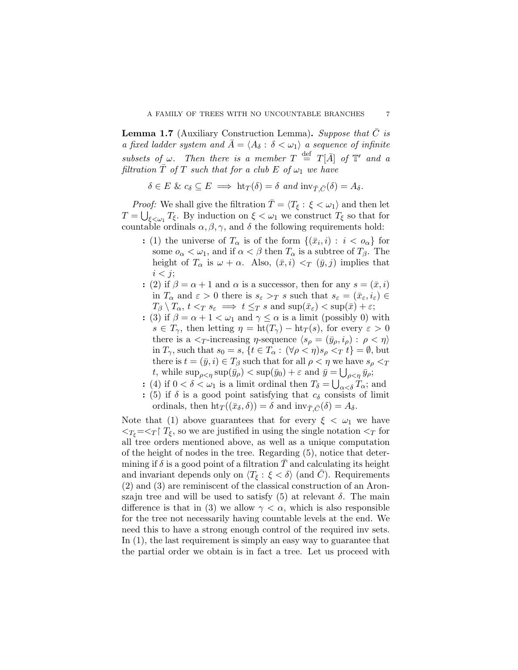**Lemma 1.7** (Auxiliary Construction Lemma). Suppose that  $C$  is a fixed ladder system and  $\bar{A} = \langle A_{\delta} : \delta < \omega_1 \rangle$  a sequence of infinite subsets of  $\omega$ . Then there is a member  $T \stackrel{\text{def}}{=} T[\bar{A}]$  of  $\mathbb{T}'$  and a filtration  $\overline{T}$  of T such that for a club E of  $\omega_1$  we have

$$
\delta \in E \& c_{\delta} \subseteq E \implies \text{ht}_T(\delta) = \delta \text{ and } \text{inv}_{\bar{T}, \bar{C}}(\delta) = A_{\delta}.
$$

*Proof:* We shall give the filtration  $\overline{T} = \langle T_{\xi} : \xi < \omega_1 \rangle$  and then let  $T = \bigcup_{\xi < \omega_1} T_{\xi}$ . By induction on  $\xi < \omega_1$  we construct  $T_{\xi}$  so that for countable ordinals  $\alpha, \beta, \gamma$ , and  $\delta$  the following requirements hold:

- : (1) the universe of  $T_{\alpha}$  is of the form  $\{(\bar{x}_i, i) : i < o_{\alpha}\}\$ for some  $o_{\alpha} < \omega_1$ , and if  $\alpha < \beta$  then  $T_{\alpha}$  is a subtree of  $T_{\beta}$ . The height of  $T_{\alpha}$  is  $\omega + \alpha$ . Also,  $(\bar{x}, i) <_T (\bar{y}, j)$  implies that  $i < j$ ;
- : (2) if  $\beta = \alpha + 1$  and  $\alpha$  is a successor, then for any  $s = (\bar{x}, i)$ in  $T_{\alpha}$  and  $\varepsilon > 0$  there is  $s_{\varepsilon} > T s$  such that  $s_{\varepsilon} = (\bar{x}_{\varepsilon}, i_{\varepsilon}) \in$  $T_{\beta} \setminus T_{\alpha}, t <_T s_{\varepsilon} \implies t \leq_T s \text{ and } \sup(\bar{x}_{\varepsilon}) < \sup(\bar{x}) + \varepsilon;$
- : (3) if  $\beta = \alpha + 1 < \omega_1$  and  $\gamma \leq \alpha$  is a limit (possibly 0) with  $s \in T_{\gamma}$ , then letting  $\eta = \text{ht}(T_{\gamma}) - \text{ht}_T(s)$ , for every  $\varepsilon > 0$ there is a  $\langle \gamma \rangle$ -increasing  $\eta$ -sequence  $\langle s_{\rho} = (\bar{y}_{\rho}, i_{\rho}) : \rho \langle \eta \rangle$ in  $T_{\gamma}$ , such that  $s_0 = s$ ,  $\{t \in T_{\alpha} : (\forall \rho < \eta) s_{\rho} < T t\} = \emptyset$ , but there is  $t = (\bar{y}, i) \in T_{\beta}$  such that for all  $\rho < \eta$  we have  $s_{\rho} < \tau$ t, while  $\sup_{\rho < \eta} \sup(\bar{y}_{\rho}) < \sup(\bar{y}_0) + \varepsilon$  and  $\bar{y} = \bigcup_{\rho < \eta} \bar{y}_{\rho};$
- : (4) if  $0 < \delta < \omega_1$  is a limit ordinal then  $T_{\delta} = \bigcup_{\alpha < \delta} T_{\alpha}$ ; and
- : (5) if  $\delta$  is a good point satisfying that  $c_{\delta}$  consists of limit ordinals, then  $\text{ht}_{T}((\bar{x}_{\delta}, \delta)) = \delta$  and  $\text{inv}_{\bar{T}}_{\bar{C}}(\delta) = A_{\delta}$ .

Note that (1) above guarantees that for every  $\xi < \omega_1$  we have  $\langle \gamma_{\xi} = \langle \gamma | T_{\xi}$ , so we are justified in using the single notation  $\langle \gamma \rangle$  for all tree orders mentioned above, as well as a unique computation of the height of nodes in the tree. Regarding (5), notice that determining if  $\delta$  is a good point of a filtration T and calculating its height and invariant depends only on  $\langle T_{\xi} : \xi < \delta \rangle$  (and  $\overline{C}$ ). Requirements (2) and (3) are reminiscent of the classical construction of an Aronszajn tree and will be used to satisfy  $(5)$  at relevant  $\delta$ . The main difference is that in (3) we allow  $\gamma < \alpha$ , which is also responsible for the tree not necessarily having countable levels at the end. We need this to have a strong enough control of the required inv sets. In  $(1)$ , the last requirement is simply an easy way to guarantee that the partial order we obtain is in fact a tree. Let us proceed with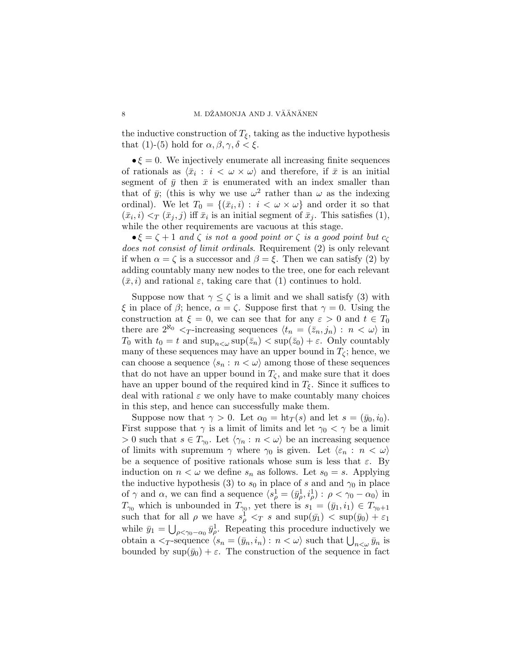the inductive construction of  $T_{\xi}$ , taking as the inductive hypothesis that (1)-(5) hold for  $\alpha, \beta, \gamma, \delta < \xi$ .

 $\bullet \xi = 0$ . We injectively enumerate all increasing finite sequences of rationals as  $\langle \bar{x}_i : i < \omega \times \omega \rangle$  and therefore, if  $\bar{x}$  is an initial segment of  $\bar{y}$  then  $\bar{x}$  is enumerated with an index smaller than that of  $\bar{y}$ ; (this is why we use  $\omega^2$  rather than  $\omega$  as the indexing ordinal). We let  $T_0 = \{(\bar{x}_i, i) : i < \omega \times \omega\}$  and order it so that  $(\bar{x}_i, i) <_T (\bar{x}_j, j)$  iff  $\bar{x}_i$  is an initial segment of  $\bar{x}_j$ . This satisfies (1), while the other requirements are vacuous at this stage.

 $\bullet \xi = \zeta + 1$  and  $\zeta$  is not a good point or  $\zeta$  is a good point but  $c_{\zeta}$ does not consist of limit ordinals. Requirement (2) is only relevant if when  $\alpha = \zeta$  is a successor and  $\beta = \xi$ . Then we can satisfy (2) by adding countably many new nodes to the tree, one for each relevant  $(\bar{x}, i)$  and rational  $\varepsilon$ , taking care that (1) continues to hold.

Suppose now that  $\gamma \leq \zeta$  is a limit and we shall satisfy (3) with ξ in place of β; hence,  $\alpha = \zeta$ . Suppose first that  $\gamma = 0$ . Using the construction at  $\xi = 0$ , we can see that for any  $\varepsilon > 0$  and  $t \in T_0$ there are  $2^{\aleph_0} *T*$ -increasing sequences  $\langle t_n = (\bar{z}_n, j_n) : n < \omega \rangle$  in  $T_0$  with  $t_0 = t$  and  $\sup_{n \leq \omega} \sup(\bar{z}_n) < \sup(\bar{z}_0) + \varepsilon$ . Only countably many of these sequences may have an upper bound in  $T_{\zeta}$ ; hence, we can choose a sequence  $\langle s_n : n < \omega \rangle$  among those of these sequences that do not have an upper bound in  $T_{\zeta}$ , and make sure that it does have an upper bound of the required kind in  $T_{\xi}$ . Since it suffices to deal with rational  $\varepsilon$  we only have to make countably many choices in this step, and hence can successfully make them.

Suppose now that  $\gamma > 0$ . Let  $\alpha_0 = \text{ht}_T(s)$  and let  $s = (\bar{y}_0, i_0)$ . First suppose that  $\gamma$  is a limit of limits and let  $\gamma_0 < \gamma$  be a limit  $> 0$  such that  $s \in T_{\gamma_0}$ . Let  $\langle \gamma_n : n \langle \omega \rangle$  be an increasing sequence of limits with supremum  $\gamma$  where  $\gamma_0$  is given. Let  $\langle \varepsilon_n : n < \omega \rangle$ be a sequence of positive rationals whose sum is less that  $\varepsilon$ . By induction on  $n < \omega$  we define  $s_n$  as follows. Let  $s_0 = s$ . Applying the inductive hypothesis (3) to  $s_0$  in place of s and and  $\gamma_0$  in place of  $\gamma$  and  $\alpha$ , we can find a sequence  $\langle s_\rho^1 = (\bar{y}_\rho^1, i_\rho^1) : \rho < \gamma_0 - \alpha_0 \rangle$  in  $T_{\gamma_0}$  which is unbounded in  $T_{\gamma_0}$ , yet there is  $s_1 = (\bar{y}_1, i_1) \in T_{\gamma_0+1}$ such that for all  $\rho$  we have  $s_{\rho}^1 < T$  s and  $\sup(\bar{y}_1) < \sup(\bar{y}_0) + \varepsilon_1$ while  $\bar{y}_1 = \bigcup_{\rho < \gamma_0 - \alpha_0} \bar{y}_{\rho}^1$ . Repeating this procedure inductively we while  $y_1 - \bigcup_{\rho < \gamma_0 - \alpha_0} y_{\rho}$ . Repeating this procedure inductively we<br>obtain a  $\langle y_1 \rangle = \langle y_0, i_n \rangle$  is  $n \langle \omega \rangle$  such that  $\bigcup_{n \langle \omega} \bar{y}_n$  is bounded by  $\sup(\bar{y}_0) + \varepsilon$ . The construction of the sequence in fact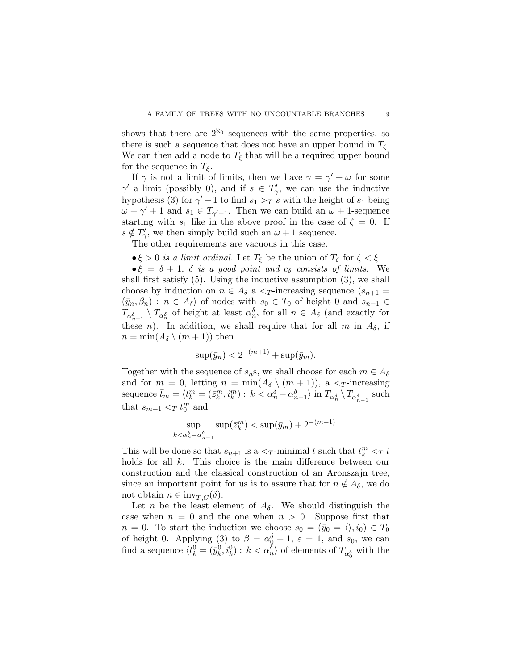shows that there are  $2^{\aleph_0}$  sequences with the same properties, so there is such a sequence that does not have an upper bound in  $T_{\zeta}$ . We can then add a node to  $T_{\xi}$  that will be a required upper bound for the sequence in  $T_{\xi}$ .

If  $\gamma$  is not a limit of limits, then we have  $\gamma = \gamma' + \omega$  for some  $\gamma'$  a limit (possibly 0), and if  $s \in T'_{\gamma}$ , we can use the inductive hypothesis (3) for  $\gamma' + 1$  to find  $s_1 > T$  s with the height of  $s_1$  being  $\omega + \gamma' + 1$  and  $s_1 \in T_{\gamma'+1}$ . Then we can build an  $\omega + 1$ -sequence starting with  $s_1$  like in the above proof in the case of  $\zeta = 0$ . If  $s \notin T'_{\gamma}$ , we then simply build such an  $\omega + 1$  sequence.

The other requirements are vacuous in this case.

 $\bullet \xi > 0$  is a limit ordinal. Let  $T_{\xi}$  be the union of  $T_{\zeta}$  for  $\zeta < \xi$ .

 $\bullet \xi = \delta + 1$ ,  $\delta$  is a good point and  $c_{\delta}$  consists of limits. We shall first satisfy (5). Using the inductive assumption (3), we shall choose by induction on  $n \in A_{\delta}$  a  $\leq_T$ -increasing sequence  $\langle s_{n+1} =$  $(\bar{y}_n, \beta_n) : n \in A_\delta$  of nodes with  $s_0 \in T_0$  of height 0 and  $s_{n+1} \in$  $T_{\alpha_{n+1}^{\delta}} \setminus T_{\alpha_n^{\delta}}$  of height at least  $\alpha_n^{\delta}$ , for all  $n \in A_{\delta}$  (and exactly for these *n*). In addition, we shall require that for all *m* in  $A_{\delta}$ , if  $n = \min(A_\delta \setminus (m+1))$  then

$$
\sup(\bar{y}_n) < 2^{-(m+1)} + \sup(\bar{y}_m).
$$

Together with the sequence of  $s_n s$ , we shall choose for each  $m \in A_\delta$ and for  $m = 0$ , letting  $n = \min(A_{\delta} \setminus (m + 1))$ , a  $\leq_T$ -increasing sequence  $\bar{t}_m = \langle t_k^m = (\bar{z}_k^m, i_k^m) : k \langle \alpha_n^{\delta} - \alpha_{n-1}^{\delta} \rangle$  in  $T_{\alpha_n^{\delta}} \setminus T_{\alpha_{n-1}^{\delta}}$  such that  $s_{m+1} <_T t_0^m$  and

$$
\sup_{k < \alpha_n^{\delta} - \alpha_{n-1}^{\delta}} \sup(\bar{z}_k^m) < \sup(\bar{y}_m) + 2^{-(m+1)}.
$$

This will be done so that  $s_{n+1}$  is a  $\lt_T$ -minimal t such that  $t_k^m \lt_T t$ holds for all k. This choice is the main difference between our construction and the classical construction of an Aronszajn tree, since an important point for us is to assure that for  $n \notin A_\delta$ , we do not obtain  $n \in \text{inv}_{\bar{T}, \bar{C}}(\delta)$ .

Let n be the least element of  $A_{\delta}$ . We should distinguish the case when  $n = 0$  and the one when  $n > 0$ . Suppose first that  $n = 0$ . To start the induction we choose  $s_0 = (\bar{y}_0 = \langle \rangle, i_0) \in T_0$ of height 0. Applying (3) to  $\beta = \alpha_0^{\delta} + 1$ ,  $\varepsilon = 1$ , and  $s_0$ , we can find a sequence  $\langle t_k^0 = (\bar{y}_k^0, i_k^0) : k < \alpha_n^{\delta} \rangle$  of elements of  $T_{\alpha_0^{\delta}}$  with the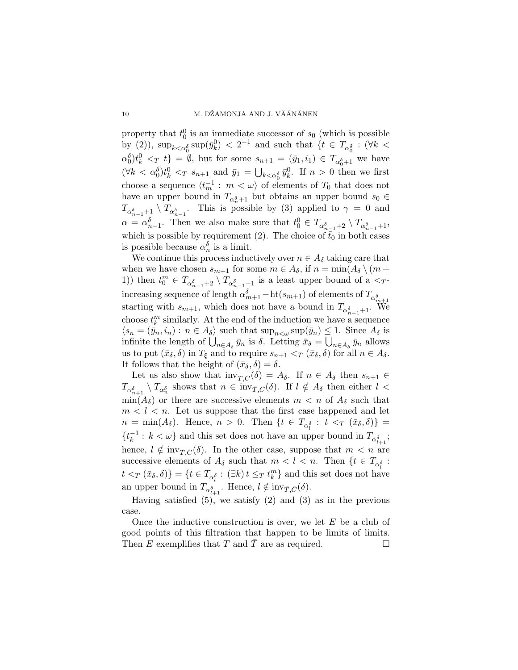property that  $t_0^0$  is an immediate successor of  $s_0$  (which is possible by (2)),  $\sup_{k < \alpha_0^{\delta}} \sup(\bar{y}_k^0) < 2^{-1}$  and such that  $\{t \in T_{\alpha_0^{\delta}} : (\forall k <$  $\alpha_0^{\delta}$ ,  $t_k^0 \leq_T t_j^1 = \emptyset$ , but for some  $s_{n+1} = (\bar{y}_1, i_1) \in T_{\alpha_0^{\delta}+1}$  we have  $(\forall k < \alpha_0^{\delta}) t_k^0 <_T s_{n+1}$  and  $\bar{y}_1 = \bigcup_{k < \alpha_0^{\delta}} \bar{y}_k^0$ . If  $n > 0$  then we first choose a sequence  $\langle t_m^{-1} : m \langle \omega \rangle$  of elements of  $T_0$  that does not have an upper bound in  $T_{\alpha_n^{\delta}+1}$  but obtains an upper bound  $s_0 \in$  $T_{\alpha_{n-1}^{\delta}+1} \setminus T_{\alpha_{n-1}^{\delta}}$ . This is possible by (3) applied to  $\gamma = 0$  and  $\alpha = \alpha_{n-1}^{\delta}$ . Then we also make sure that  $t_0^0 \in T_{\alpha_{n-1}^{\delta}+2} \setminus T_{\alpha_{n-1}^{\delta}+1}$ , which is possible by requirement (2). The choice of  $\bar{t}_0$  in both cases is possible because  $\alpha_n^{\delta}$  is a limit.

We continue this process inductively over  $n \in A_\delta$  taking care that when we have chosen  $s_{m+1}$  for some  $m \in A_{\delta}$ , if  $n = \min(A_{\delta} \setminus (m +$ 1)) then  $t_0^m \in T_{\alpha_{n-1}^{\delta}+2} \setminus T_{\alpha_{n-1}^{\delta}+1}$  is a least upper bound of a  $\leq_T$ increasing sequence of length  $\alpha_{m+1}^{\delta}$  – ht $(s_{m+1})$  of elements of  $T_{\alpha_{m+1}^{\delta}}$ starting with  $s_{m+1}$ , which does not have a bound in  $T_{\alpha_{n-1}^{\delta}+1}$ . We choose  $t_k^m$  similarly. At the end of the induction we have a sequence  $\langle s_n = (\bar{y}_n, i_n) : n \in A_\delta \rangle$  such that  $\sup_{n \leq \omega} \sup(\bar{y}_n) \leq 1$ . Since  $A_\delta$  is  $\langle s_n = (y_n, i_n) : n \in A_{\delta} \rangle$  such that  $\sup_{n \leq \omega} \sup_{y_n \leq \omega} (y_n) \leq 1$ . Since  $A_{\delta}$  is infinite the length of  $\bigcup_{n \in A_{\delta}} \bar{y}_n$  is  $\delta$ . Letting  $\bar{x}_{\delta} = \bigcup_{n \in A_{\delta}} \bar{y}_n$  allows us to put  $(\bar{x}_{\delta}, \delta)$  in  $T_{\xi}$  and to require  $s_{n+1} <_T (\bar{x}_{\delta}, \delta)$  for all  $n \in A_{\delta}$ . It follows that the height of  $(\bar{x}_{\delta}, \delta) = \delta$ .

Let us also show that  $inv_{\bar{T}, \bar{C}}(\delta) = A_{\delta}$ . If  $n \in A_{\delta}$  then  $s_{n+1} \in$  $T_{\alpha_{n+1}^{\delta}} \setminus T_{\alpha_n^{\delta}}$  shows that  $n \in \text{inv}_{\bar{T}, \bar{C}}(\delta)$ . If  $l \notin A_{\delta}$  then either  $l < \frac{1}{\sqrt{n}}$  $\min(A_\delta)$  or there are successive elements  $m < n$  of  $A_\delta$  such that  $m < l < n$ . Let us suppose that the first case happened and let  $n = \min(A_{\delta})$ . Hence,  $n > 0$ . Then  $\{t \in T_{\alpha_i^{\delta}} : t <_T (\bar{x}_{\delta}, \delta)\}$  $\{t_k^{-1}$  $\frac{1}{k}$  :  $k < \omega$ } and this set does not have an upper bound in  $T_{\alpha_{l+1}^{\delta}}$ ; hence,  $l \notin \text{inv}_{\bar{T}, \bar{C}}(\delta)$ . In the other case, suppose that  $m < n$  are successive elements of  $A_{\delta}$  such that  $m < l < n$ . Then  $\{t \in T_{\alpha_{l}^{\delta}}\}$ :  $\{t \leq T(\bar{x}_{\delta}, \delta)\} = \{t \in T_{\alpha_i^{\delta}} : (\exists k) t \leq T t_k^m\}$  and this set does not have an upper bound in  $T_{\alpha_{l+1}^{\delta}}$ . Hence,  $l \notin \text{inv}_{\bar{T}, \bar{C}}(\delta)$ .

Having satisfied  $(5)$ , we satisfy  $(2)$  and  $(3)$  as in the previous case.

Once the inductive construction is over, we let  $E$  be a club of good points of this filtration that happen to be limits of limits. Then E exemplifies that T and  $\overline{T}$  are as required.  $\Box$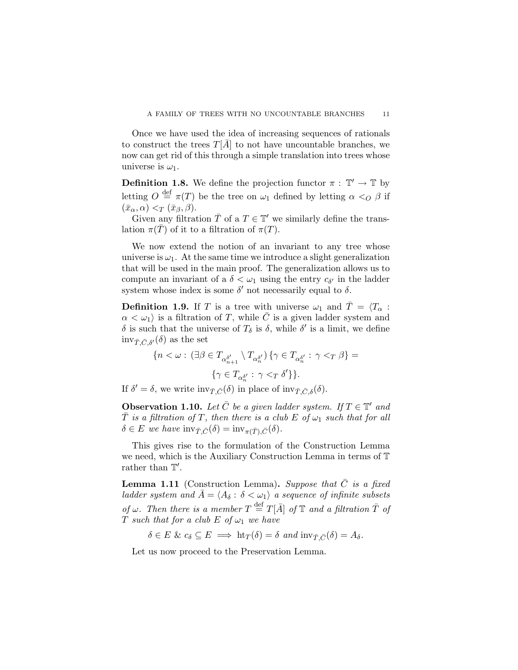Once we have used the idea of increasing sequences of rationals to construct the trees  $T[A]$  to not have uncountable branches, we now can get rid of this through a simple translation into trees whose universe is  $\omega_1$ .

**Definition 1.8.** We define the projection functor  $\pi : \mathbb{T}' \to \mathbb{T}$  by letting  $O \stackrel{\text{def}}{=} \pi(T)$  be the tree on  $\omega_1$  defined by letting  $\alpha <_O \beta$  if  $(\bar{x}_{\alpha}, \alpha) <_{\mathcal{T}} (\bar{x}_{\beta}, \beta).$ 

Given any filtration  $\overline{T}$  of a  $T \in \mathbb{T}'$  we similarly define the translation  $\pi(T)$  of it to a filtration of  $\pi(T)$ .

We now extend the notion of an invariant to any tree whose universe is  $\omega_1$ . At the same time we introduce a slight generalization that will be used in the main proof. The generalization allows us to compute an invariant of a  $\delta < \omega_1$  using the entry  $c_{\delta'}$  in the ladder system whose index is some  $\delta'$  not necessarily equal to  $\delta$ .

**Definition 1.9.** If T is a tree with universe  $\omega_1$  and  $\overline{T} = \langle T_\alpha :$  $\alpha < \omega_1$  is a filtration of T, while  $\overline{C}$  is a given ladder system and δ is such that the universe of  $T<sub>δ</sub>$  is δ, while δ' is a limit, we define  $inv_{\bar{T}, \bar{C}, \delta'}(\delta)$  as the set

$$
\label{eq:3.1} \begin{aligned} \{n<\omega: \ (\exists \beta\in T_{\alpha_{n+1}^{\delta'}}\setminus T_{\alpha_{n}^{\delta'}})\ \{\gamma\in T_{\alpha_{n}^{\delta'}}: \ \gamma<_{T}\beta\}= \\ \{\gamma\in T_{\alpha_{n}^{\delta'}}: \ \gamma<_{T}\delta'\}\}. \end{aligned}
$$

If  $\delta' = \delta$ , we write  $\text{inv}_{\bar{T}, \bar{C}}(\delta)$  in place of  $\text{inv}_{\bar{T}, \bar{C}, \delta}(\delta)$ .

**Observation 1.10.** Let  $\overline{C}$  be a given ladder system. If  $T \in \mathbb{T}'$  and  $\overline{T}$  is a filtration of T, then there is a club E of  $\omega_1$  such that for all  $\delta \in E$  we have  $\text{inv}_{\bar{T}, \bar{C}}(\delta) = \text{inv}_{\pi(\bar{T}), \bar{C}}(\delta).$ 

This gives rise to the formulation of the Construction Lemma we need, which is the Auxiliary Construction Lemma in terms of T rather than  $\mathbb{T}'$ .

**Lemma 1.11** (Construction Lemma). Suppose that  $\overline{C}$  is a fixed ladder system and  $\bar{A} = \langle A_{\delta} : \delta < \omega_1 \rangle$  a sequence of infinite subsets of  $\omega$ . Then there is a member  $T \stackrel{\text{def}}{=} T[\bar{A}]$  of  $\mathbb T$  and a filtration  $\bar{T}$  of T such that for a club E of  $\omega_1$  we have

 $\delta \in E \& c_{\delta} \subseteq E \implies \text{ht}_T(\delta) = \delta \text{ and } \text{inv}_{\bar{T}, \bar{C}}(\delta) = A_{\delta}.$ 

Let us now proceed to the Preservation Lemma.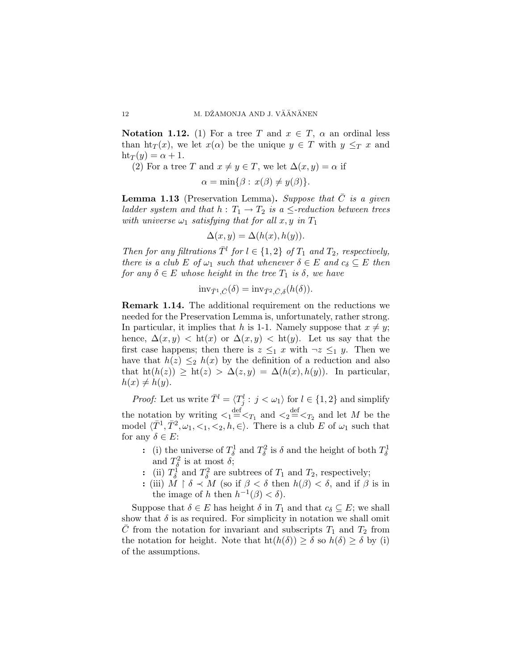**Notation 1.12.** (1) For a tree T and  $x \in T$ ,  $\alpha$  an ordinal less than  $\text{ht}_T(x)$ , we let  $x(\alpha)$  be the unique  $y \in T$  with  $y \leq_T x$  and  $\text{ht}_T(y) = \alpha + 1.$ 

(2) For a tree T and  $x \neq y \in T$ , we let  $\Delta(x, y) = \alpha$  if

$$
\alpha = \min\{\beta : x(\beta) \neq y(\beta)\}.
$$

**Lemma 1.13** (Preservation Lemma). Suppose that  $\overline{C}$  is a given ladder system and that  $h: T_1 \to T_2$  is a  $\leq$ -reduction between trees with universe  $\omega_1$  satisfying that for all x, y in  $T_1$ 

$$
\Delta(x, y) = \Delta(h(x), h(y)).
$$

Then for any filtrations  $\overline{T}^l$  for  $l \in \{1,2\}$  of  $T_1$  and  $T_2$ , respectively, there is a club E of  $\omega_1$  such that whenever  $\delta \in E$  and  $c_{\delta} \subseteq E$  then for any  $\delta \in E$  whose height in the tree  $T_1$  is  $\delta$ , we have

$$
\mathrm{inv}_{\bar{T}^1,\bar{C}}(\delta) = \mathrm{inv}_{\bar{T}^2,\bar{C},\delta}(h(\delta)).
$$

Remark 1.14. The additional requirement on the reductions we needed for the Preservation Lemma is, unfortunately, rather strong. In particular, it implies that h is 1-1. Namely suppose that  $x \neq y$ ; hence,  $\Delta(x, y) < \text{ht}(x)$  or  $\Delta(x, y) < \text{ht}(y)$ . Let us say that the first case happens; then there is  $z \leq_1 x$  with  $\neg z \leq_1 y$ . Then we have that  $h(z) \leq h(x)$  by the definition of a reduction and also that  $\mathrm{ht}(h(z)) \geq \mathrm{ht}(z) > \Delta(z, y) = \Delta(h(x), h(y)).$  In particular,  $h(x) \neq h(y)$ .

*Proof:* Let us write  $\overline{T}^l = \langle T_j^l : j < \omega_1 \rangle$  for  $l \in \{1, 2\}$  and simplify the notation by writing  $\lt_1 \stackrel{\text{def}}{=} \lt_{T_1}$  and  $\lt_2 \stackrel{\text{def}}{=} \lt_{T_2}$  and let M be the model  $\langle \bar{T}^1, \bar{T}^2, \omega_1, \langle 1, \overline{\langle 2 \rangle}, \overline{h}, \in \rangle$ . There is a club E of  $\omega_1$  such that for any  $\delta \in E$ :

- : (i) the universe of  $T_{\delta}^1$  and  $T_{\delta}^2$  is  $\delta$  and the height of both  $T_{\delta}^1$ and  $T_{\delta}^2$  is at most  $\delta$ ;
- : (ii)  $T_{\delta}^{\bar{1}}$  and  $T_{\delta}^2$  are subtrees of  $T_1$  and  $T_2$ , respectively;
- : (iii)  $M \upharpoonright \delta \prec M$  (so if  $\beta < \delta$  then  $h(\beta) < \delta$ , and if  $\beta$  is in the image of h then  $h^{-1}(\beta) < \delta$ .

Suppose that  $\delta \in E$  has height  $\delta$  in  $T_1$  and that  $c_{\delta} \subseteq E$ ; we shall show that  $\delta$  is as required. For simplicity in notation we shall omit  $\overline{C}$  from the notation for invariant and subscripts  $T_1$  and  $T_2$  from the notation for height. Note that  $ht(h(\delta)) \geq \delta$  so  $h(\delta) \geq \delta$  by (i) of the assumptions.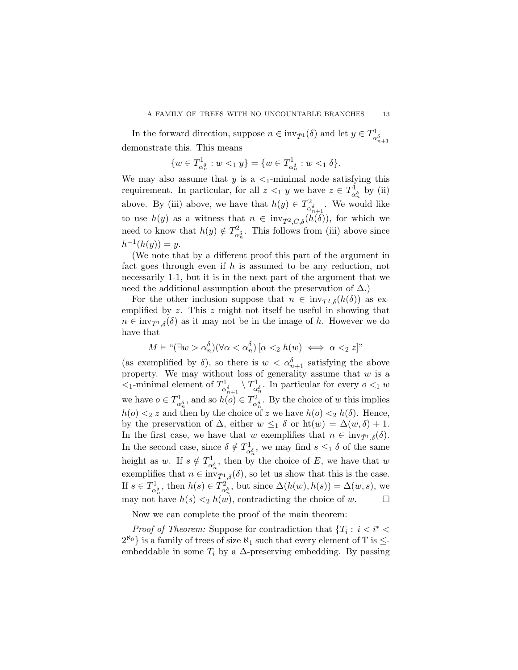In the forward direction, suppose  $n \in \text{inv}_{\bar{T}^1}(\delta)$  and let  $y \in T^1_{\alpha}$  $\alpha_{n+1}^{\delta}$ demonstrate this. This means

$$
\{w\in T_{\alpha^{\delta}_n}^1: w<_1 y\}=\{w\in T_{\alpha^{\delta}_n}^1: w<_1 \delta\}.
$$

We may also assume that y is a  $\lt_1$ -minimal node satisfying this requirement. In particular, for all  $z <_1 y$  we have  $z \in T_{\alpha_n^{\delta}}^1$  by (ii) above. By (iii) above, we have that  $h(y) \in T_{\infty}^2$  $\alpha_{\alpha_{n+1}}^2$ . We would like to use  $h(y)$  as a witness that  $n \in \text{inv}_{\bar{T}^2, \bar{C}, \delta}(h(\delta))$ , for which we need to know that  $h(y) \notin T_{\alpha_n^{\delta}}^2$ . This follows from (iii) above since  $h^{-1}(h(y)) = y.$ 

(We note that by a different proof this part of the argument in fact goes through even if  $h$  is assumed to be any reduction, not necessarily 1-1, but it is in the next part of the argument that we need the additional assumption about the preservation of  $\Delta$ .)

For the other inclusion suppose that  $n \in inv_{\bar{T}^2,\delta}(h(\delta))$  as exemplified by  $z$ . This  $z$  might not itself be useful in showing that  $n \in \text{inv}_{\bar{T}^1,\delta}(\delta)$  as it may not be in the image of h. However we do have that

$$
M \vDash \text{``}(\exists w > \alpha_n^{\delta})(\forall \alpha < \alpha_n^{\delta}) [\alpha <_2 h(w) \iff \alpha <_2 z] \text{''}
$$

(as exemplified by  $\delta$ ), so there is  $w < \alpha_{n+1}^{\delta}$  satisfying the above property. We may without loss of generality assume that  $w$  is a  $\lt_{1}$ -minimal element of  $T_{\alpha}^{1}$  $\prod_{\alpha_{n+1}^{\delta}}^{1} \setminus T_{\alpha_{n}^{\delta}}^{1}$ . In particular for every  $o <_1 w$ we have  $o \in T_{\alpha_n^{\delta}}^1$ , and so  $h(o) \in T_{\alpha_n^{\delta}}^2$ . By the choice of w this implies  $h(o) \leq z$  and then by the choice of z we have  $h(o) \leq h(\delta)$ . Hence, by the preservation of  $\Delta$ , either  $w \leq_1 \delta$  or  $ht(w) = \Delta(w,\delta) + 1$ . In the first case, we have that w exemplifies that  $n \in inv_{\bar{T}^1,\delta}(\delta)$ . In the second case, since  $\delta \notin T^1_{\alpha_n^{\delta}}$ , we may find  $s \leq_1 \delta$  of the same height as w. If  $s \notin T^1_{\alpha_n^{\delta}}$ , then by the choice of E, we have that w exemplifies that  $n \in \text{inv}_{\bar{T}^1, \delta}(\delta)$ , so let us show that this is the case. If  $s \in T_{\alpha_0^{\delta}}^1$ , then  $h(s) \in T_{\alpha_0^{\delta}}^2$ , but since  $\Delta(h(w), h(s)) = \Delta(w, s)$ , we may not have  $h(s) \leq h(w)$ , contradicting the choice of w.  $\Box$ 

Now we can complete the proof of the main theorem:

*Proof of Theorem:* Suppose for contradiction that  $\{T_i : i < i^*$  $2^{\aleph_0}$  is a family of trees of size  $\aleph_1$  such that every element of  $\mathbb T$  is  $\leq$ embeddable in some  $T_i$  by a  $\Delta$ -preserving embedding. By passing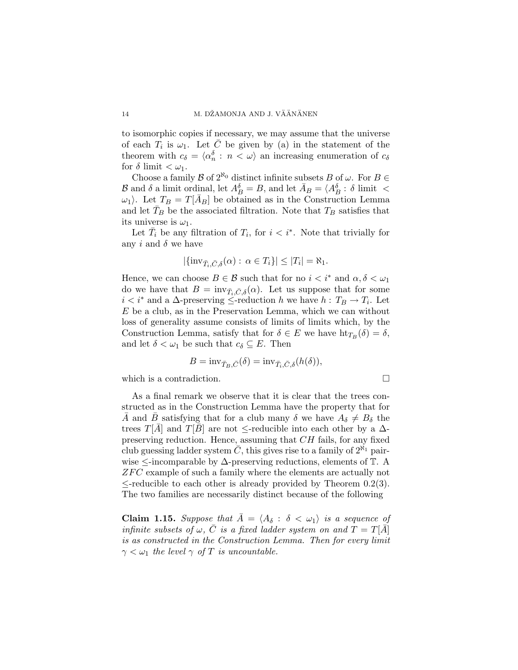to isomorphic copies if necessary, we may assume that the universe of each  $T_i$  is  $\omega_1$ . Let  $\bar{C}$  be given by (a) in the statement of the theorem with  $c_{\delta} = \langle \alpha_n^{\delta} : n \langle \omega \rangle$  an increasing enumeration of  $c_{\delta}$ for  $\delta$  limit  $<\omega_1$ .

Choose a family  $\mathcal B$  of  $2^{\aleph_0}$  distinct infinite subsets B of  $\omega$ . For  $B \in$ B and  $\delta$  a limit ordinal, let  $A_B^{\delta} = B$ , and let  $\bar{A}_B = \langle A_B^{\delta} : \delta$  limit  $\langle A_B^{\delta} : A_B^{\delta} : A_B^{\delta} : A_B^{\delta} : A_B^{\delta} : A_B^{\delta} : A_B^{\delta} : A_B^{\delta} : A_B^{\delta} : A_B^{\delta} : A_B^{\delta} : A_B^{\delta} : A_B^{\delta} : A_B^{\delta} : A_B^{\delta} : A_B^{\delta} : A_B^{\delta} : A_B^{\delta} : A_B^{\delta} : A_B^{\delta}$  $\omega_1$ . Let  $T_B = T[A_B]$  be obtained as in the Construction Lemma and let  $T_B$  be the associated filtration. Note that  $T_B$  satisfies that its universe is  $\omega_1$ .

Let  $\overline{T}_i$  be any filtration of  $T_i$ , for  $i < i^*$ . Note that trivially for any i and  $\delta$  we have

$$
|\{\text{inv}_{\bar{T}_i,\bar{C},\delta}(\alpha): \alpha \in T_i\}| \leq |T_i| = \aleph_1.
$$

Hence, we can choose  $B \in \mathcal{B}$  such that for no  $i < i^*$  and  $\alpha, \delta < \omega_1$ do we have that  $B = inv_{\bar{T}_i, \bar{C}, \delta}(\alpha)$ . Let us suppose that for some  $i < i^*$  and a  $\Delta$ -preserving  $\leq$ -reduction h we have  $h : T_B \to T_i$ . Let  $E$  be a club, as in the Preservation Lemma, which we can without loss of generality assume consists of limits of limits which, by the Construction Lemma, satisfy that for  $\delta \in E$  we have  $\text{ht}_{T_B}(\delta) = \delta$ , and let  $\delta < \omega_1$  be such that  $c_{\delta} \subseteq E$ . Then

$$
B = inv_{\bar{T}_B, \bar{C}}(\delta) = inv_{\bar{T}_i, \bar{C}, \delta}(h(\delta)),
$$

which is a contradiction.  $\Box$ 

As a final remark we observe that it is clear that the trees constructed as in the Construction Lemma have the property that for  $\overline{A}$  and  $\overline{B}$  satisfying that for a club many  $\delta$  we have  $A_{\delta} \neq B_{\delta}$  the trees  $T[\bar{A}]$  and  $T[\bar{B}]$  are not  $\leq$ -reducible into each other by a  $\Delta$ preserving reduction. Hence, assuming that CH fails, for any fixed club guessing ladder system  $\overline{C}$ , this gives rise to a family of  $2^{\aleph_1}$  pairwise ≤-incomparable by ∆-preserving reductions, elements of T. A  $ZFC$  example of such a family where the elements are actually not  $\leq$ -reducible to each other is already provided by Theorem 0.2(3). The two families are necessarily distinct because of the following

**Claim 1.15.** Suppose that  $\bar{A} = \langle A_{\delta} : \delta \langle \omega_1 \rangle$  is a sequence of infinite subsets of  $\omega, \bar{C}$  is a fixed ladder system on and  $T = T[\bar{A}]$ is as constructed in the Construction Lemma. Then for every limit  $\gamma < \omega_1$  the level  $\gamma$  of T is uncountable.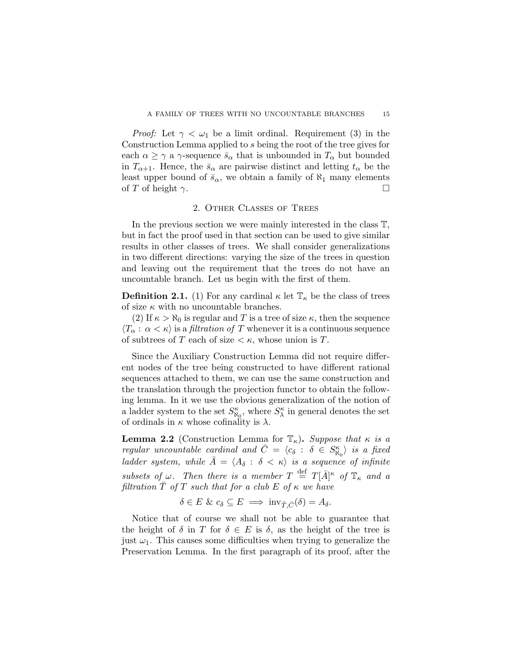*Proof:* Let  $\gamma < \omega_1$  be a limit ordinal. Requirement (3) in the Construction Lemma applied to s being the root of the tree gives for each  $\alpha \geq \gamma$  a  $\gamma$ -sequence  $\bar{s}_{\alpha}$  that is unbounded in  $T_{\alpha}$  but bounded in  $T_{\alpha+1}$ . Hence, the  $\bar{s}_{\alpha}$  are pairwise distinct and letting  $t_{\alpha}$  be the least upper bound of  $\bar{s}_{\alpha}$ , we obtain a family of  $\aleph_1$  many elements of T of height  $\gamma$ .

# 2. Other Classes of Trees

In the previous section we were mainly interested in the class T, but in fact the proof used in that section can be used to give similar results in other classes of trees. We shall consider generalizations in two different directions: varying the size of the trees in question and leaving out the requirement that the trees do not have an uncountable branch. Let us begin with the first of them.

**Definition 2.1.** (1) For any cardinal  $\kappa$  let  $\mathbb{T}_{\kappa}$  be the class of trees of size  $\kappa$  with no uncountable branches.

(2) If  $\kappa > \aleph_0$  is regular and T is a tree of size  $\kappa$ , then the sequence  $\langle T_{\alpha} : \alpha < \kappa \rangle$  is a *filtration of* T whenever it is a continuous sequence of subtrees of T each of size  $\lt \kappa$ , whose union is T.

Since the Auxiliary Construction Lemma did not require different nodes of the tree being constructed to have different rational sequences attached to them, we can use the same construction and the translation through the projection functor to obtain the following lemma. In it we use the obvious generalization of the notion of a ladder system to the set  $S^{\kappa}_{\aleph_0}$ , where  $S^{\kappa}_{\lambda}$  in general denotes the set of ordinals in  $\kappa$  whose cofinality is  $\lambda$ .

**Lemma 2.2** (Construction Lemma for  $\mathbb{T}_{\kappa}$ ). Suppose that  $\kappa$  is a regular uncountable cardinal and  $\overline{C} = \langle c_{\delta} : \delta \in S_{\aleph_0}^{\kappa} \rangle$  is a fixed ladder system, while  $\overline{A} = \langle A_{\delta} : \delta \langle \kappa \rangle$  is a sequence of infinite subsets of  $\omega$ . Then there is a member  $T \stackrel{\text{def}}{=} T[\bar{A}]^{\kappa}$  of  $\mathbb{T}_{\kappa}$  and a filtration  $\overline{T}$  of T such that for a club E of  $\kappa$  we have

$$
\delta \in E \& c_{\delta} \subseteq E \implies \text{inv}_{\bar{T}, \bar{C}}(\delta) = A_{\delta}.
$$

Notice that of course we shall not be able to guarantee that the height of  $\delta$  in T for  $\delta \in E$  is  $\delta$ , as the height of the tree is just  $\omega_1$ . This causes some difficulties when trying to generalize the Preservation Lemma. In the first paragraph of its proof, after the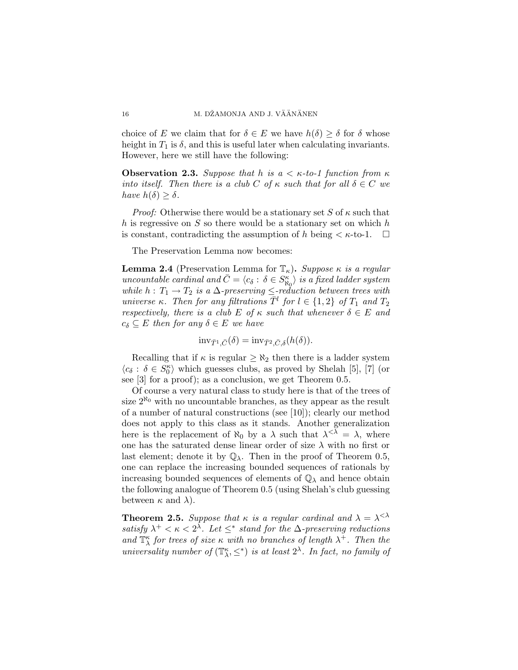choice of E we claim that for  $\delta \in E$  we have  $h(\delta) \geq \delta$  for  $\delta$  whose height in  $T_1$  is  $\delta$ , and this is useful later when calculating invariants. However, here we still have the following:

**Observation 2.3.** Suppose that h is  $a < \kappa$ -to-1 function from  $\kappa$ into itself. Then there is a club C of  $\kappa$  such that for all  $\delta \in C$  we have  $h(\delta) \geq \delta$ .

*Proof:* Otherwise there would be a stationary set S of  $\kappa$  such that h is regressive on  $S$  so there would be a stationary set on which h is constant, contradicting the assumption of h being  $\lt \kappa$ -to-1.  $\Box$ 

The Preservation Lemma now becomes:

**Lemma 2.4** (Preservation Lemma for  $\mathbb{T}_{\kappa}$ ). Suppose  $\kappa$  is a regular uncountable cardinal and  $\bar{C} = \langle c_{\delta} : \delta \in S_{\aleph_0}^{\kappa} \rangle$  is a fixed ladder system while  $h: T_1 \to T_2$  is a  $\Delta$ -preserving  $\leq$ -reduction between trees with universe κ. Then for any filtrations  $\overline{T}^l$  for  $l \in \{1,2\}$  of  $T_1$  and  $T_2$ respectively, there is a club E of  $\kappa$  such that whenever  $\delta \in E$  and  $c_{\delta} \subseteq E$  then for any  $\delta \in E$  we have

$$
\mathrm{inv}_{\bar{T}^1,\bar{C}}(\delta) = \mathrm{inv}_{\bar{T}^2,\bar{C},\delta}(h(\delta)).
$$

Recalling that if  $\kappa$  is regular  $\geq \aleph_2$  then there is a ladder system  $\langle c_{\delta} : \delta \in S_0^{\kappa} \rangle$  which guesses clubs, as proved by Shelah [5], [7] (or see [3] for a proof); as a conclusion, we get Theorem 0.5.

Of course a very natural class to study here is that of the trees of size  $2^{\aleph_0}$  with no uncountable branches, as they appear as the result of a number of natural constructions (see [10]); clearly our method does not apply to this class as it stands. Another generalization here is the replacement of  $\aleph_0$  by a  $\lambda$  such that  $\lambda^{<\lambda} = \lambda$ , where one has the saturated dense linear order of size  $\lambda$  with no first or last element; denote it by  $\mathbb{Q}_{\lambda}$ . Then in the proof of Theorem 0.5, one can replace the increasing bounded sequences of rationals by increasing bounded sequences of elements of  $\mathbb{Q}_{\lambda}$  and hence obtain the following analogue of Theorem 0.5 (using Shelah's club guessing between  $\kappa$  and  $\lambda$ ).

**Theorem 2.5.** Suppose that  $\kappa$  is a regular cardinal and  $\lambda = \lambda^{<\lambda}$ satisfy  $\lambda^+ < \kappa < 2^{\lambda}$ . Let  $\leq^*$  stand for the  $\Delta$ -preserving reductions and  $\mathbb{T}_{\lambda}^{\kappa}$  for trees of size  $\kappa$  with no branches of length  $\lambda^{+}$ . Then the universality number of  $(\mathbb{T}^{\kappa}_{\lambda}, \leq^*)$  is at least  $2^{\lambda}$ . In fact, no family of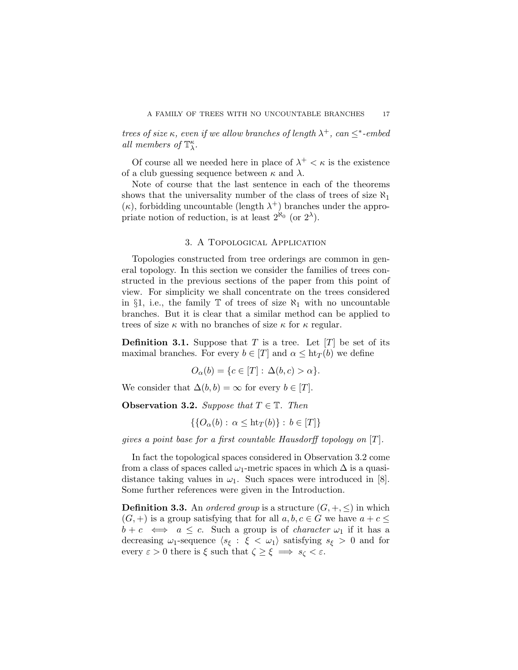trees of size  $\kappa$ , even if we allow branches of length  $\lambda^+$ , can  $\leq^*$ -embed all members of  $\mathbb{T}^{\kappa}_{\lambda}$ .

Of course all we needed here in place of  $\lambda^+ < \kappa$  is the existence of a club guessing sequence between  $\kappa$  and  $\lambda$ .

Note of course that the last sentence in each of the theorems shows that the universality number of the class of trees of size  $\aleph_1$  $(\kappa)$ , forbidding uncountable (length  $\lambda^+$ ) branches under the appropriate notion of reduction, is at least  $2^{\aleph_0}$  (or  $2^{\lambda}$ ).

## 3. A Topological Application

Topologies constructed from tree orderings are common in general topology. In this section we consider the families of trees constructed in the previous sections of the paper from this point of view. For simplicity we shall concentrate on the trees considered in §1, i.e., the family  $\mathbb T$  of trees of size  $\aleph_1$  with no uncountable branches. But it is clear that a similar method can be applied to trees of size  $\kappa$  with no branches of size  $\kappa$  for  $\kappa$  regular.

**Definition 3.1.** Suppose that T is a tree. Let  $[T]$  be set of its maximal branches. For every  $b \in [T]$  and  $\alpha \leq ht_T(b)$  we define

$$
O_{\alpha}(b) = \{c \in [T]: \Delta(b, c) > \alpha\}.
$$

We consider that  $\Delta(b, b) = \infty$  for every  $b \in [T]$ .

Observation 3.2. Suppose that  $T \in \mathbb{T}$ . Then

$$
\{\{O_{\alpha}(b): \alpha \leq ht_T(b)\} : b \in [T]\}\
$$

gives a point base for a first countable Hausdorff topology on  $[T]$ .

In fact the topological spaces considered in Observation 3.2 come from a class of spaces called  $\omega_1$ -metric spaces in which  $\Delta$  is a quasidistance taking values in  $\omega_1$ . Such spaces were introduced in [8]. Some further references were given in the Introduction.

**Definition 3.3.** An *ordered group* is a structure  $(G, +, \leq)$  in which  $(G, +)$  is a group satisfying that for all  $a, b, c \in G$  we have  $a + c \leq$  $b + c \iff a \leq c$ . Such a group is of *character*  $\omega_1$  if it has a decreasing  $\omega_1$ -sequence  $\langle s_{\xi} : \xi < \omega_1 \rangle$  satisfying  $s_{\xi} > 0$  and for every  $\varepsilon > 0$  there is  $\xi$  such that  $\zeta \geq \xi \implies s_{\zeta} < \varepsilon$ .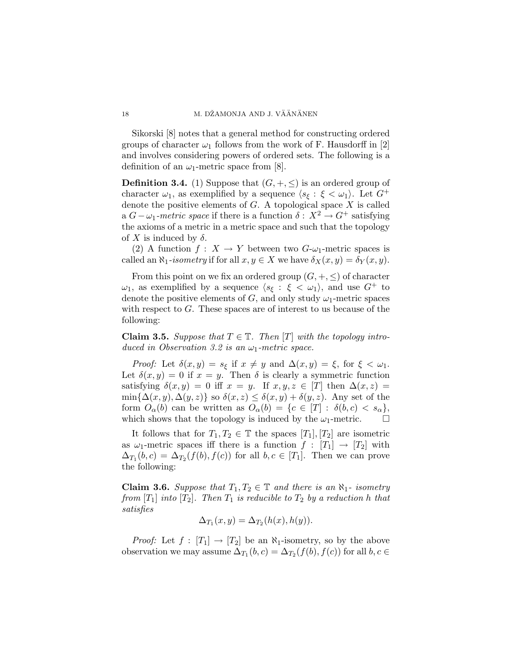Sikorski [8] notes that a general method for constructing ordered groups of character  $\omega_1$  follows from the work of F. Hausdorff in [2] and involves considering powers of ordered sets. The following is a definition of an  $\omega_1$ -metric space from [8].

**Definition 3.4.** (1) Suppose that  $(G, +, \leq)$  is an ordered group of character  $\omega_1$ , as exemplified by a sequence  $\langle s_{\xi} : \xi < \omega_1 \rangle$ . Let  $G^+$ denote the positive elements of  $G$ . A topological space  $X$  is called a  $G-\omega_1$ -metric space if there is a function  $\delta: X^2 \to G^+$  satisfying the axioms of a metric in a metric space and such that the topology of X is induced by  $\delta$ .

(2) A function  $f: X \to Y$  between two  $G-\omega_1$ -metric spaces is called an  $\aleph_1$ -isometry if for all  $x, y \in X$  we have  $\delta_X(x, y) = \delta_Y(x, y)$ .

From this point on we fix an ordered group  $(G, +, \leq)$  of character  $\omega_1$ , as exemplified by a sequence  $\langle s_\xi : \xi < \omega_1 \rangle$ , and use  $G^+$  to denote the positive elements of G, and only study  $\omega_1$ -metric spaces with respect to  $G$ . These spaces are of interest to us because of the following:

**Claim 3.5.** Suppose that  $T \in \mathbb{T}$ . Then  $[T]$  with the topology introduced in Observation 3.2 is an  $\omega_1$ -metric space.

*Proof:* Let  $\delta(x, y) = s_{\xi}$  if  $x \neq y$  and  $\Delta(x, y) = \xi$ , for  $\xi < \omega_1$ . Let  $\delta(x, y) = 0$  if  $x = y$ . Then  $\delta$  is clearly a symmetric function satisfying  $\delta(x, y) = 0$  iff  $x = y$ . If  $x, y, z \in [T]$  then  $\Delta(x, z) =$  $\min{\{\Delta(x,y),\Delta(y,z)\}}$  so  $\delta(x,z) \leq \delta(x,y) + \delta(y,z)$ . Any set of the form  $O_{\alpha}(b)$  can be written as  $O_{\alpha}(b) = \{c \in [T] : \delta(b,c) < s_{\alpha}\},\$ which shows that the topology is induced by the  $\omega_1$ -metric.  $\Box$ 

It follows that for  $T_1, T_2 \in \mathbb{T}$  the spaces  $[T_1], [T_2]$  are isometric as  $\omega_1$ -metric spaces iff there is a function  $f : [T_1] \to [T_2]$  with  $\Delta_{T_1}(b, c) = \Delta_{T_2}(f(b), f(c))$  for all  $b, c \in [T_1]$ . Then we can prove the following:

**Claim 3.6.** Suppose that  $T_1, T_2 \in \mathbb{T}$  and there is an  $\aleph_1$ - isometry from  $[T_1]$  into  $[T_2]$ . Then  $T_1$  is reducible to  $T_2$  by a reduction h that satisfies

$$
\Delta_{T_1}(x,y) = \Delta_{T_2}(h(x),h(y)).
$$

*Proof:* Let  $f : [T_1] \to [T_2]$  be an  $\aleph_1$ -isometry, so by the above observation we may assume  $\Delta_{T_1}(b, c) = \Delta_{T_2}(f(b), f(c))$  for all  $b, c \in$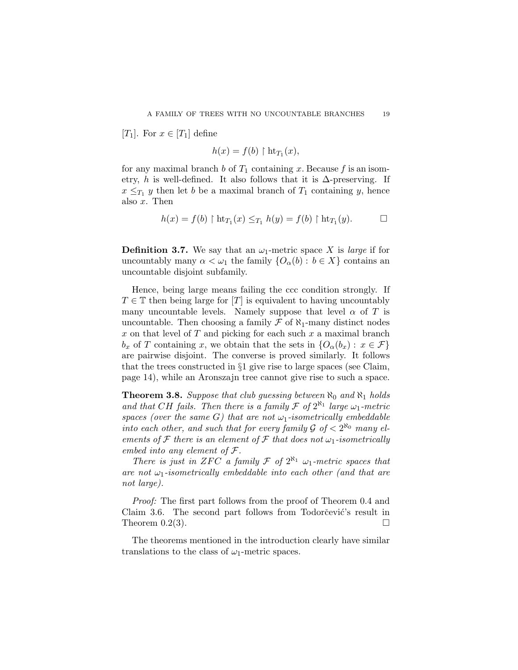[T<sub>1</sub>]. For  $x \in [T_1]$  define

$$
h(x) = f(b) \restriction \text{ht}_{T_1}(x),
$$

for any maximal branch b of  $T_1$  containing x. Because f is an isometry, h is well-defined. It also follows that it is  $\Delta$ -preserving. If  $x \leq_{T_1} y$  then let b be a maximal branch of  $T_1$  containing y, hence also x. Then

$$
h(x) = f(b) \upharpoonright \mathrm{ht}_{T_1}(x) \leq_{T_1} h(y) = f(b) \upharpoonright \mathrm{ht}_{T_1}(y).
$$

**Definition 3.7.** We say that an  $\omega_1$ -metric space X is *large* if for uncountably many  $\alpha < \omega_1$  the family  $\{O_\alpha(b) : b \in X\}$  contains an uncountable disjoint subfamily.

Hence, being large means failing the ccc condition strongly. If  $T \in \mathbb{T}$  then being large for [T] is equivalent to having uncountably many uncountable levels. Namely suppose that level  $\alpha$  of T is uncountable. Then choosing a family  $\mathcal F$  of  $\aleph_1$ -many distinct nodes  $x$  on that level of  $T$  and picking for each such  $x$  a maximal branch  $b_x$  of T containing x, we obtain that the sets in  $\{O_\alpha(b_x): x \in \mathcal{F}\}\$ are pairwise disjoint. The converse is proved similarly. It follows that the trees constructed in §1 give rise to large spaces (see Claim, page 14), while an Aronszajn tree cannot give rise to such a space.

**Theorem 3.8.** Suppose that club guessing between  $\aleph_0$  and  $\aleph_1$  holds and that CH fails. Then there is a family  $\mathcal F$  of  $2^{\aleph_1}$  large  $\omega_1$ -metric spaces (over the same G) that are not  $\omega_1$ -isometrically embeddable into each other, and such that for every family  $\mathcal{G}$  of  $\langle 2^{\aleph_0}$  many elements of  $\mathcal F$  there is an element of  $\mathcal F$  that does not  $\omega_1$ -isometrically embed into any element of F.

There is just in ZFC a family  $\mathcal F$  of  $2^{\aleph_1} \omega_1$ -metric spaces that are not  $\omega_1$ -isometrically embeddable into each other (and that are not large).

Proof: The first part follows from the proof of Theorem 0.4 and Claim 3.6. The second part follows from Todorčević's result in Theorem 0.2(3).  $\Box$ 

The theorems mentioned in the introduction clearly have similar translations to the class of  $\omega_1$ -metric spaces.